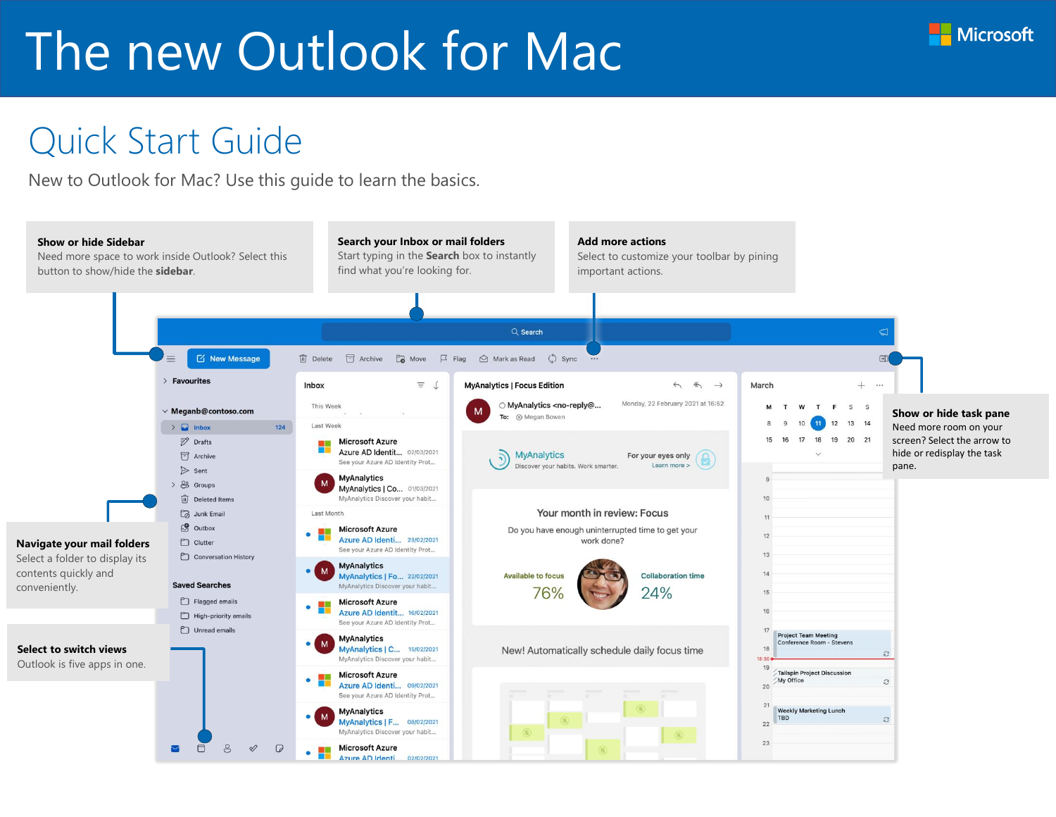#### Quick Start Guide

New to Outlook for Mac? Use this guide to learn the basics.



**Microsoft**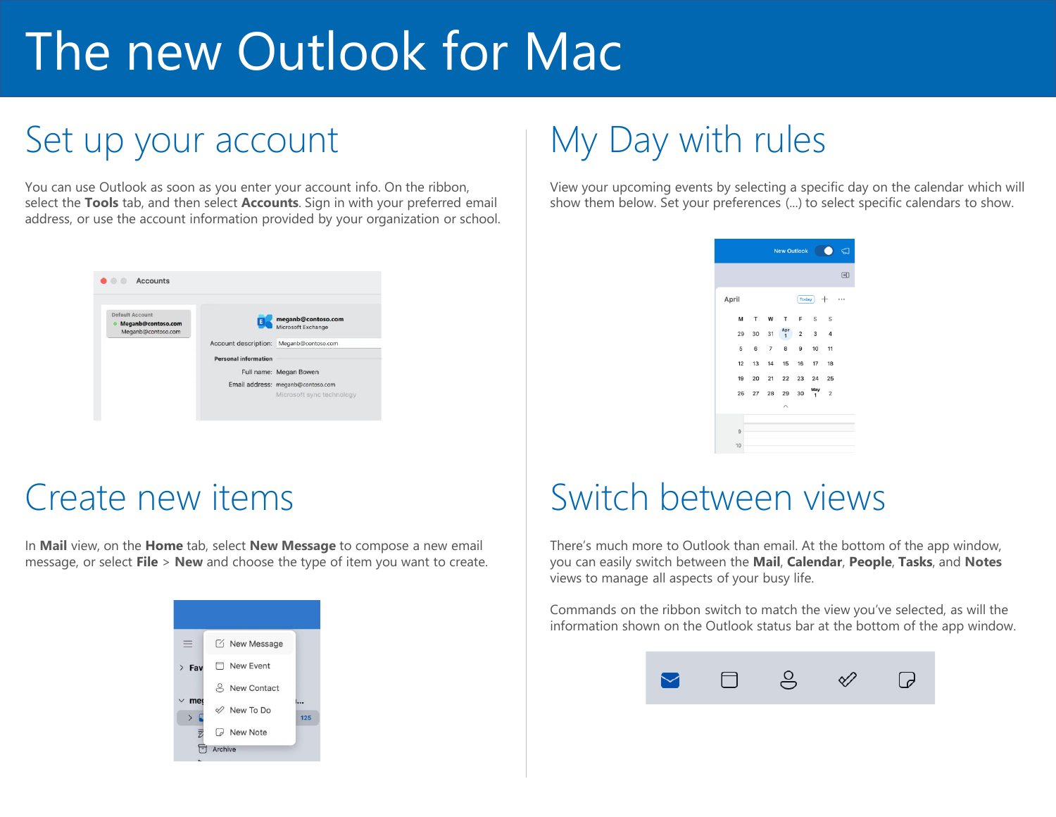### Set up your account

You can use Outlook as soon as you enter your account info. On the ribbon, select the **Tools** tab, and then select **Accounts**. Sign in with your preferred email address, or use the account information provided by your organization or school.



#### Create new items

In **Mail** view, on the **Home** tab, select **New Message** to compose a new email message, or select **File** > **New** and choose the type of item you want to create.



### My Day with rules

View your upcoming events by selecting a specific day on the calendar which will show them below. Set your preferences (...) to select specific calendars to show.

| <b>New Outlook</b><br>. .<br>ಽ |       |    |                     |                |          |                |   |  |
|--------------------------------|-------|----|---------------------|----------------|----------|----------------|---|--|
|                                |       |    |                     |                |          |                | 団 |  |
| April                          | Today |    |                     |                |          |                |   |  |
| М                              | т     | W  | т                   | F              | S        | S              |   |  |
| 29                             | 30    | 31 | Apr<br>$\mathbf{1}$ | $\overline{2}$ | 3        | 4              |   |  |
| 5                              | 6     | 7  | 8                   | 9              | 10       | 11             |   |  |
| 12                             | 13    | 14 | 15                  | 16             | 17       | 18             |   |  |
| 19                             | 20    | 21 | 22                  | 23             | 24       | 25             |   |  |
| 26                             | 27    | 28 | 29                  | 30             | May<br>1 | $\overline{2}$ |   |  |
|                                |       |    | ᄉ                   |                |          |                |   |  |
|                                |       |    |                     |                |          |                |   |  |
| 9                              |       |    |                     |                |          |                |   |  |
| 10                             |       |    |                     |                |          |                |   |  |

#### Switch between views

There's much more to Outlook than email. At the bottom of the app window, you can easily switch between the **Mail**, **Calendar**, **People**, **Tasks**, and **Notes** views to manage all aspects of your busy life.

Commands on the ribbon switch to match the view you've selected, as will the information shown on the Outlook status bar at the bottom of the app window.

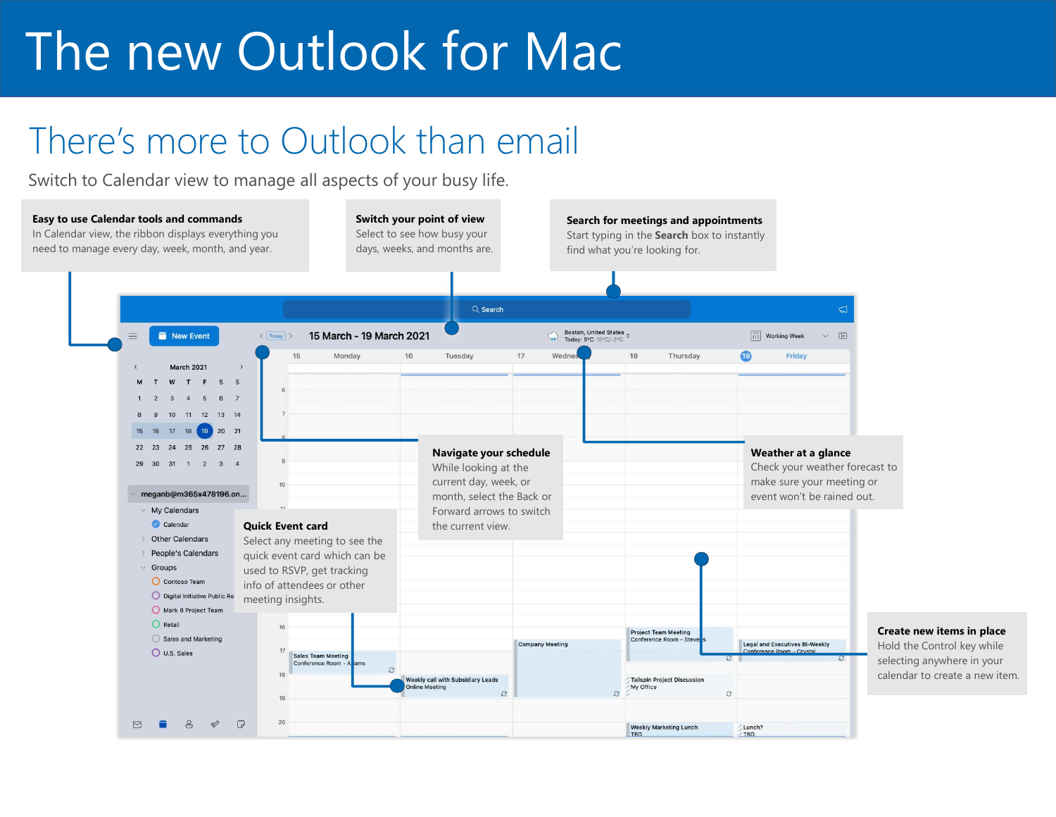### There's more to Outlook than email

Switch to Calendar view to manage all aspects of your busy life.